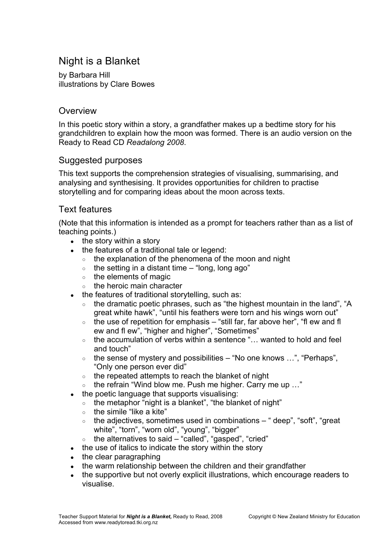# Night is a Blanket

by Barbara Hill illustrations by Clare Bowes

# **Overview**

In this poetic story within a story, a grandfather makes up a bedtime story for his grandchildren to explain how the moon was formed. There is an audio version on the Ready to Read CD *Readalong 2008*.

### Suggested purposes

This text supports the comprehension strategies of visualising, summarising, and analysing and synthesising. It provides opportunities for children to practise storytelling and for comparing ideas about the moon across texts.

# Text features

(Note that this information is intended as a prompt for teachers rather than as a list of teaching points.)

- $\bullet$  the story within a story
- the features of a traditional tale or legend:
	- $\circ$  the explanation of the phenomena of the moon and night
	- $\circ$  the setting in a distant time "long, long ago"
	- the elements of magic
	- the heroic main character
- $\bullet$  the features of traditional storytelling, such as:
	- the dramatic poetic phrases, such as "the highest mountain in the land", "A great white hawk", "until his feathers were torn and his wings worn out"
	- $\circ$  the use of repetition for emphasis "still far, far above her", "fl ew and fl ew and fl ew", "higher and higher", "Sometimes"
	- the accumulation of verbs within a sentence "... wanted to hold and feel and touch"
	- $\circ$  the sense of mystery and possibilities "No one knows ...", "Perhaps", "Only one person ever did"
	- the repeated attempts to reach the blanket of night
	- the refrain "Wind blow me. Push me higher. Carry me up …"
- the poetic language that supports visualising:
	- the metaphor "night is a blanket", "the blanket of night"
	- $\circ$  the simile "like a kite"
	- the adjectives, sometimes used in combinations " deep", "soft", "great white", "torn", "worn old", "young", "bigger"
	- the alternatives to said  $-$  "called", "gasped", "cried"
- the use of italics to indicate the story within the story
- the clear paragraphing
- the warm relationship between the children and their grandfather
- the supportive but not overly explicit illustrations, which encourage readers to visualise.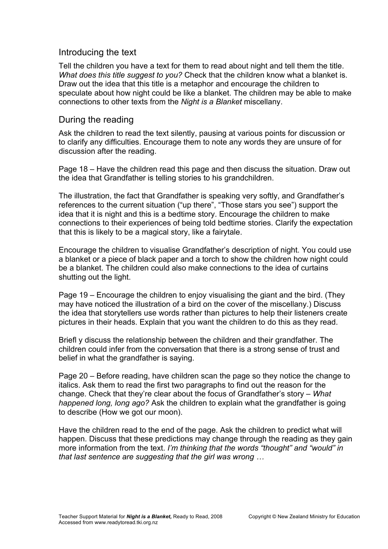### Introducing the text

Tell the children you have a text for them to read about night and tell them the title. *What does this title suggest to you?* Check that the children know what a blanket is. Draw out the idea that this title is a metaphor and encourage the children to speculate about how night could be like a blanket. The children may be able to make connections to other texts from the *Night is a Blanket* miscellany.

#### During the reading

Ask the children to read the text silently, pausing at various points for discussion or to clarify any difficulties. Encourage them to note any words they are unsure of for discussion after the reading.

Page 18 – Have the children read this page and then discuss the situation. Draw out the idea that Grandfather is telling stories to his grandchildren.

The illustration, the fact that Grandfather is speaking very softly, and Grandfather's references to the current situation ("up there", "Those stars you see") support the idea that it is night and this is a bedtime story. Encourage the children to make connections to their experiences of being told bedtime stories. Clarify the expectation that this is likely to be a magical story, like a fairytale.

Encourage the children to visualise Grandfather's description of night. You could use a blanket or a piece of black paper and a torch to show the children how night could be a blanket. The children could also make connections to the idea of curtains shutting out the light.

Page 19 – Encourage the children to enjoy visualising the giant and the bird. (They may have noticed the illustration of a bird on the cover of the miscellany.) Discuss the idea that storytellers use words rather than pictures to help their listeners create pictures in their heads. Explain that you want the children to do this as they read.

Briefl y discuss the relationship between the children and their grandfather. The children could infer from the conversation that there is a strong sense of trust and belief in what the grandfather is saying.

Page 20 – Before reading, have children scan the page so they notice the change to italics. Ask them to read the first two paragraphs to find out the reason for the change. Check that they're clear about the focus of Grandfather's story – *What happened long, long ago?* Ask the children to explain what the grandfather is going to describe (How we got our moon).

Have the children read to the end of the page. Ask the children to predict what will happen. Discuss that these predictions may change through the reading as they gain more information from the text. *I'm thinking that the words "thought" and "would" in that last sentence are suggesting that the girl was wrong …*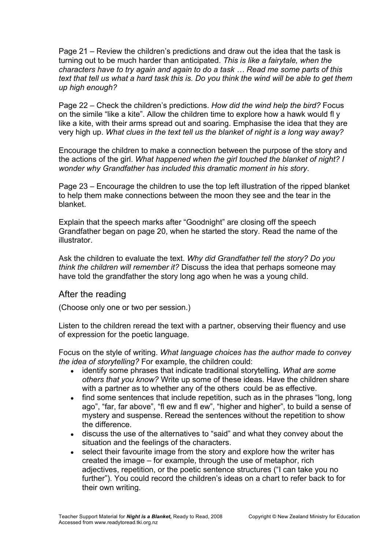Page 21 – Review the children's predictions and draw out the idea that the task is turning out to be much harder than anticipated. *This is like a fairytale, when the characters have to try again and again to do a task … Read me some parts of this text that tell us what a hard task this is. Do you think the wind will be able to get them up high enough?*

Page 22 – Check the children's predictions. *How did the wind help the bird?* Focus on the simile "like a kite". Allow the children time to explore how a hawk would fl y like a kite, with their arms spread out and soaring. Emphasise the idea that they are very high up. *What clues in the text tell us the blanket of night is a long way away?*

Encourage the children to make a connection between the purpose of the story and the actions of the girl. *What happened when the girl touched the blanket of night? I wonder why Grandfather has included this dramatic moment in his story*.

Page 23 – Encourage the children to use the top left illustration of the ripped blanket to help them make connections between the moon they see and the tear in the blanket.

Explain that the speech marks after "Goodnight" are closing off the speech Grandfather began on page 20, when he started the story. Read the name of the illustrator.

Ask the children to evaluate the text. *Why did Grandfather tell the story? Do you think the children will remember it?* Discuss the idea that perhaps someone may have told the grandfather the story long ago when he was a young child.

#### After the reading

(Choose only one or two per session.)

Listen to the children reread the text with a partner, observing their fluency and use of expression for the poetic language.

Focus on the style of writing. *What language choices has the author made to convey the idea of storytelling?* For example, the children could:

- identify some phrases that indicate traditional storytelling. *What are some others that you know?* Write up some of these ideas. Have the children share with a partner as to whether any of the others could be as effective.
- find some sentences that include repetition, such as in the phrases "long, long ago", "far, far above", "fl ew and fl ew", "higher and higher", to build a sense of mystery and suspense. Reread the sentences without the repetition to show the difference.
- discuss the use of the alternatives to "said" and what they convey about the situation and the feelings of the characters.
- select their favourite image from the story and explore how the writer has created the image – for example, through the use of metaphor, rich adjectives, repetition, or the poetic sentence structures ("I can take you no further"). You could record the children's ideas on a chart to refer back to for their own writing.